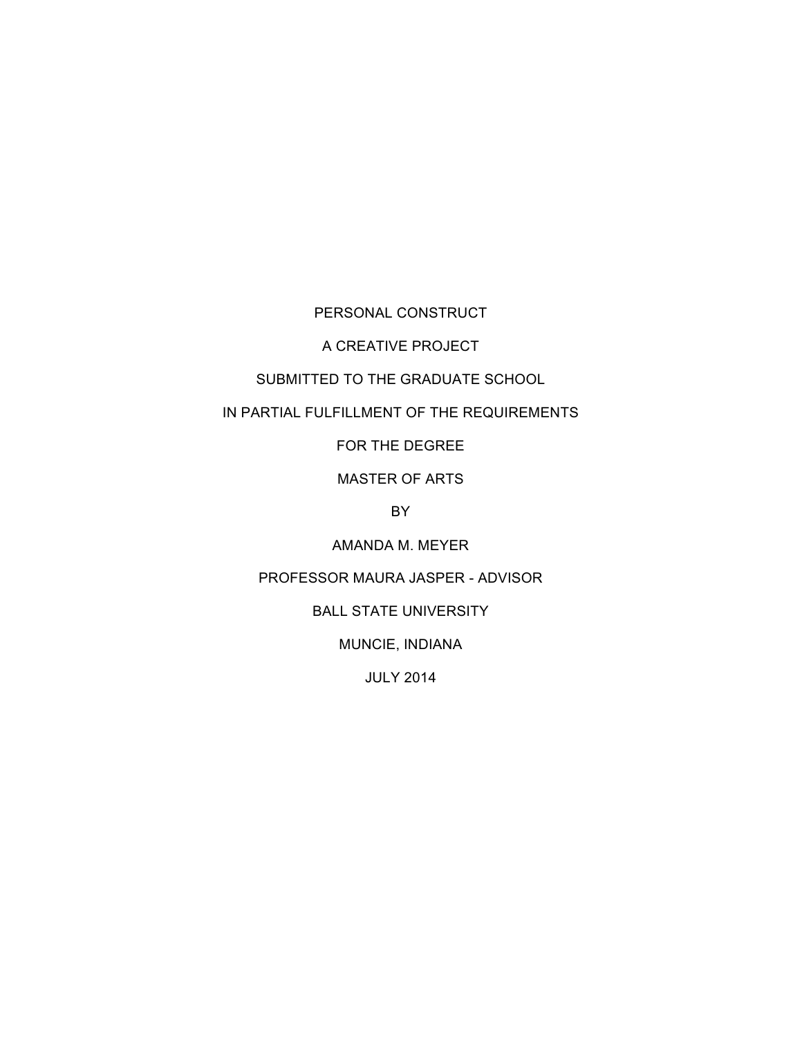PERSONAL CONSTRUCT

A CREATIVE PROJECT

# SUBMITTED TO THE GRADUATE SCHOOL

IN PARTIAL FULFILLMENT OF THE REQUIREMENTS

FOR THE DEGREE

MASTER OF ARTS

BY

AMANDA M. MEYER

PROFESSOR MAURA JASPER - ADVISOR

BALL STATE UNIVERSITY

MUNCIE, INDIANA

JULY 2014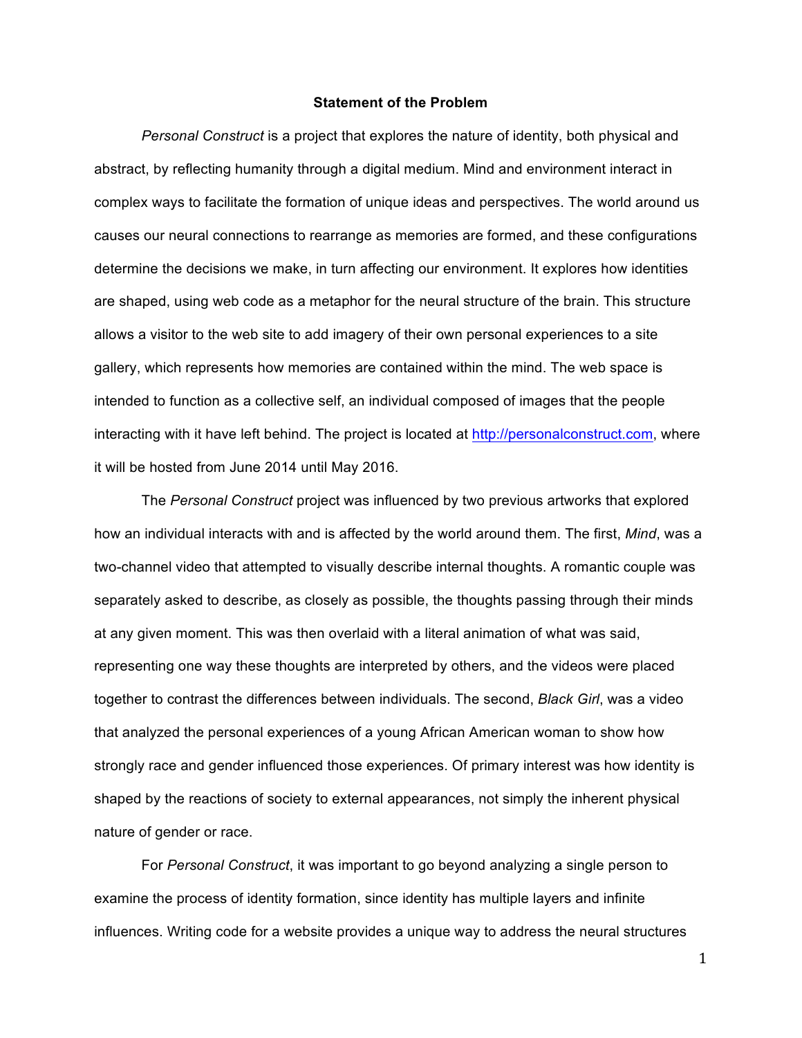#### **Statement of the Problem**

*Personal Construct* is a project that explores the nature of identity, both physical and abstract, by reflecting humanity through a digital medium. Mind and environment interact in complex ways to facilitate the formation of unique ideas and perspectives. The world around us causes our neural connections to rearrange as memories are formed, and these configurations determine the decisions we make, in turn affecting our environment. It explores how identities are shaped, using web code as a metaphor for the neural structure of the brain. This structure allows a visitor to the web site to add imagery of their own personal experiences to a site gallery, which represents how memories are contained within the mind. The web space is intended to function as a collective self, an individual composed of images that the people interacting with it have left behind. The project is located at http://personalconstruct.com, where it will be hosted from June 2014 until May 2016.

The *Personal Construct* project was influenced by two previous artworks that explored how an individual interacts with and is affected by the world around them. The first, *Mind*, was a two-channel video that attempted to visually describe internal thoughts. A romantic couple was separately asked to describe, as closely as possible, the thoughts passing through their minds at any given moment. This was then overlaid with a literal animation of what was said, representing one way these thoughts are interpreted by others, and the videos were placed together to contrast the differences between individuals. The second, *Black Girl*, was a video that analyzed the personal experiences of a young African American woman to show how strongly race and gender influenced those experiences. Of primary interest was how identity is shaped by the reactions of society to external appearances, not simply the inherent physical nature of gender or race.

For *Personal Construct*, it was important to go beyond analyzing a single person to examine the process of identity formation, since identity has multiple layers and infinite influences. Writing code for a website provides a unique way to address the neural structures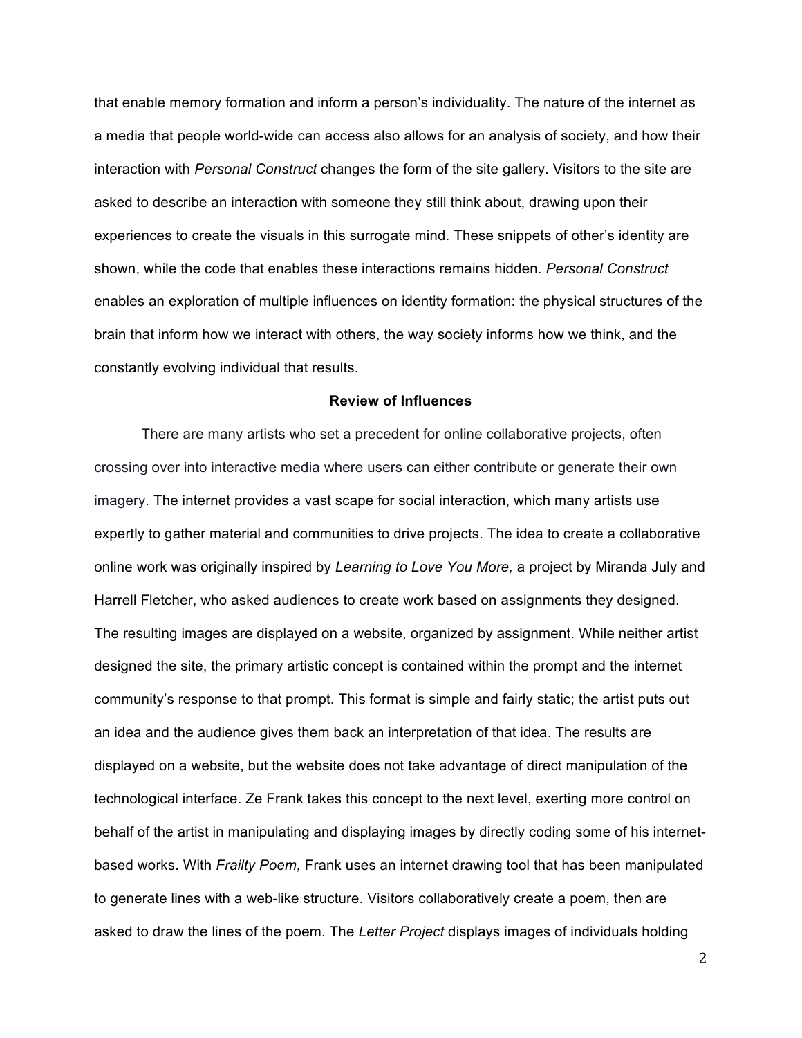that enable memory formation and inform a person's individuality. The nature of the internet as a media that people world-wide can access also allows for an analysis of society, and how their interaction with *Personal Construct* changes the form of the site gallery. Visitors to the site are asked to describe an interaction with someone they still think about, drawing upon their experiences to create the visuals in this surrogate mind. These snippets of other's identity are shown, while the code that enables these interactions remains hidden. *Personal Construct*  enables an exploration of multiple influences on identity formation: the physical structures of the brain that inform how we interact with others, the way society informs how we think, and the constantly evolving individual that results.

#### **Review of Influences**

There are many artists who set a precedent for online collaborative projects, often crossing over into interactive media where users can either contribute or generate their own imagery. The internet provides a vast scape for social interaction, which many artists use expertly to gather material and communities to drive projects. The idea to create a collaborative online work was originally inspired by *Learning to Love You More,* a project by Miranda July and Harrell Fletcher, who asked audiences to create work based on assignments they designed. The resulting images are displayed on a website, organized by assignment. While neither artist designed the site, the primary artistic concept is contained within the prompt and the internet community's response to that prompt. This format is simple and fairly static; the artist puts out an idea and the audience gives them back an interpretation of that idea. The results are displayed on a website, but the website does not take advantage of direct manipulation of the technological interface. Ze Frank takes this concept to the next level, exerting more control on behalf of the artist in manipulating and displaying images by directly coding some of his internetbased works. With *Frailty Poem,* Frank uses an internet drawing tool that has been manipulated to generate lines with a web-like structure. Visitors collaboratively create a poem, then are asked to draw the lines of the poem. The *Letter Project* displays images of individuals holding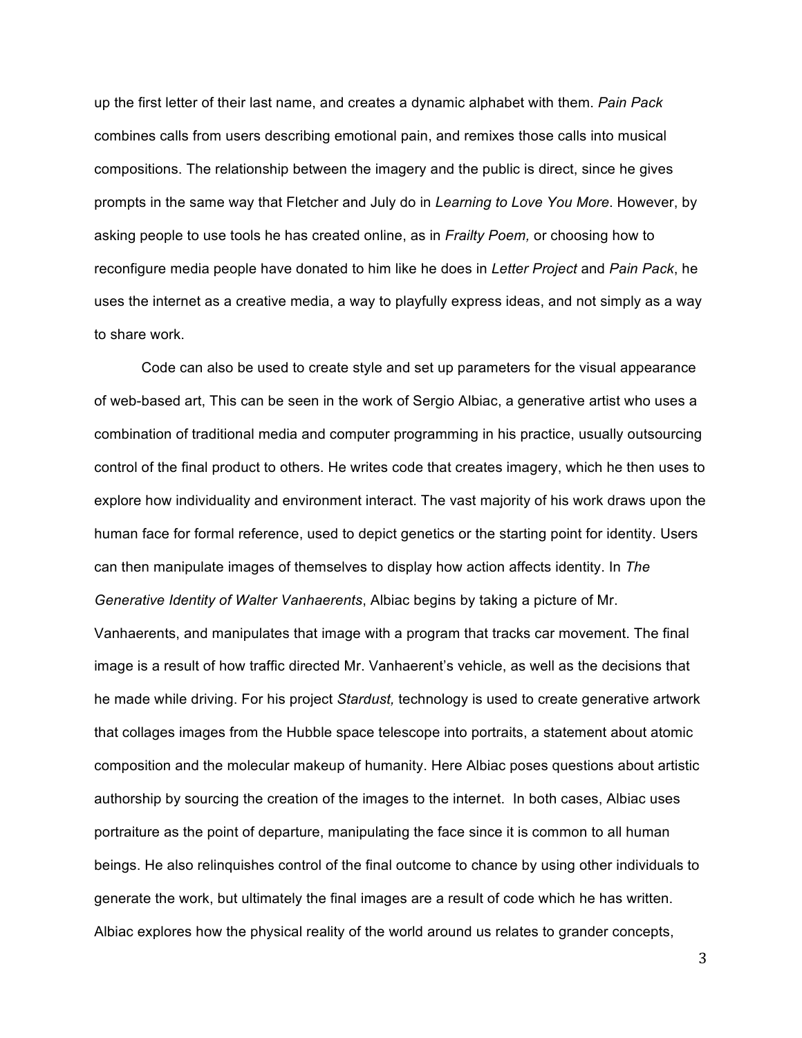up the first letter of their last name, and creates a dynamic alphabet with them. *Pain Pack* combines calls from users describing emotional pain, and remixes those calls into musical compositions. The relationship between the imagery and the public is direct, since he gives prompts in the same way that Fletcher and July do in *Learning to Love You More*. However, by asking people to use tools he has created online, as in *Frailty Poem,* or choosing how to reconfigure media people have donated to him like he does in *Letter Project* and *Pain Pack*, he uses the internet as a creative media, a way to playfully express ideas, and not simply as a way to share work.

Code can also be used to create style and set up parameters for the visual appearance of web-based art, This can be seen in the work of Sergio Albiac, a generative artist who uses a combination of traditional media and computer programming in his practice, usually outsourcing control of the final product to others. He writes code that creates imagery, which he then uses to explore how individuality and environment interact. The vast majority of his work draws upon the human face for formal reference, used to depict genetics or the starting point for identity. Users can then manipulate images of themselves to display how action affects identity. In *The Generative Identity of Walter Vanhaerents*, Albiac begins by taking a picture of Mr.

Vanhaerents, and manipulates that image with a program that tracks car movement. The final image is a result of how traffic directed Mr. Vanhaerent's vehicle, as well as the decisions that he made while driving. For his project *Stardust,* technology is used to create generative artwork that collages images from the Hubble space telescope into portraits, a statement about atomic composition and the molecular makeup of humanity. Here Albiac poses questions about artistic authorship by sourcing the creation of the images to the internet. In both cases, Albiac uses portraiture as the point of departure, manipulating the face since it is common to all human beings. He also relinquishes control of the final outcome to chance by using other individuals to generate the work, but ultimately the final images are a result of code which he has written. Albiac explores how the physical reality of the world around us relates to grander concepts,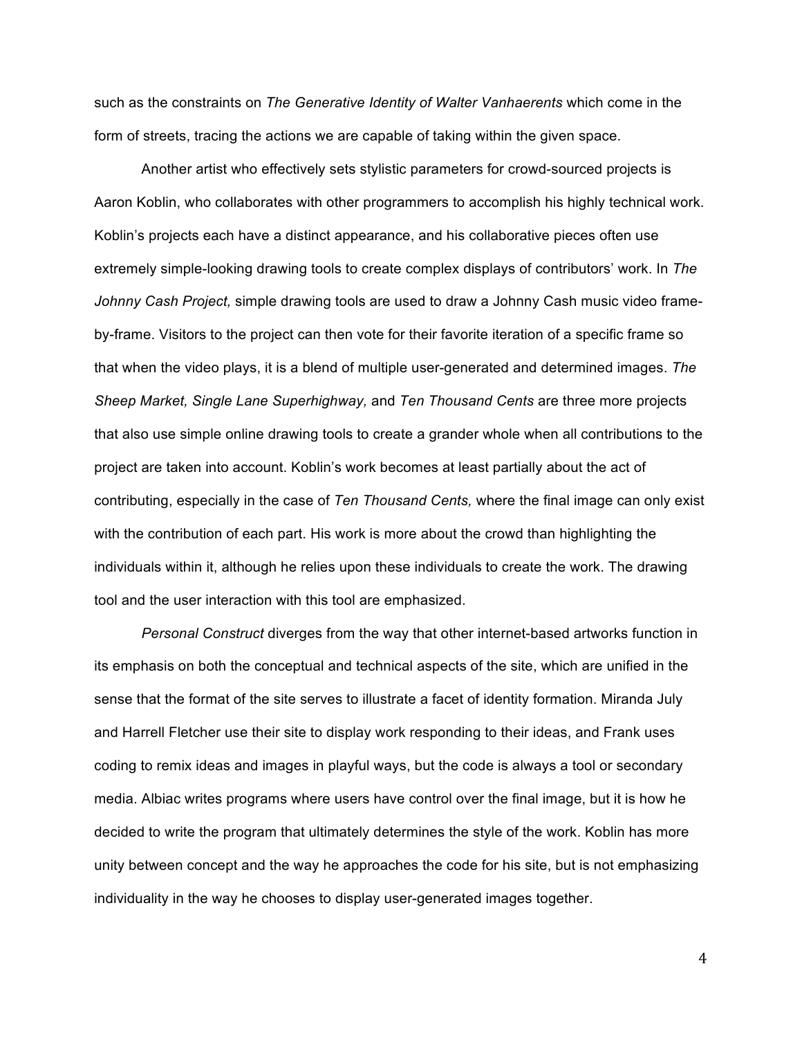such as the constraints on *The Generative Identity of Walter Vanhaerents* which come in the form of streets, tracing the actions we are capable of taking within the given space.

Another artist who effectively sets stylistic parameters for crowd-sourced projects is Aaron Koblin, who collaborates with other programmers to accomplish his highly technical work. Koblin's projects each have a distinct appearance, and his collaborative pieces often use extremely simple-looking drawing tools to create complex displays of contributors' work. In *The Johnny Cash Project,* simple drawing tools are used to draw a Johnny Cash music video frameby-frame. Visitors to the project can then vote for their favorite iteration of a specific frame so that when the video plays, it is a blend of multiple user-generated and determined images. *The Sheep Market, Single Lane Superhighway,* and *Ten Thousand Cents* are three more projects that also use simple online drawing tools to create a grander whole when all contributions to the project are taken into account. Koblin's work becomes at least partially about the act of contributing, especially in the case of *Ten Thousand Cents,* where the final image can only exist with the contribution of each part. His work is more about the crowd than highlighting the individuals within it, although he relies upon these individuals to create the work. The drawing tool and the user interaction with this tool are emphasized.

*Personal Construct* diverges from the way that other internet-based artworks function in its emphasis on both the conceptual and technical aspects of the site, which are unified in the sense that the format of the site serves to illustrate a facet of identity formation. Miranda July and Harrell Fletcher use their site to display work responding to their ideas, and Frank uses coding to remix ideas and images in playful ways, but the code is always a tool or secondary media. Albiac writes programs where users have control over the final image, but it is how he decided to write the program that ultimately determines the style of the work. Koblin has more unity between concept and the way he approaches the code for his site, but is not emphasizing individuality in the way he chooses to display user-generated images together.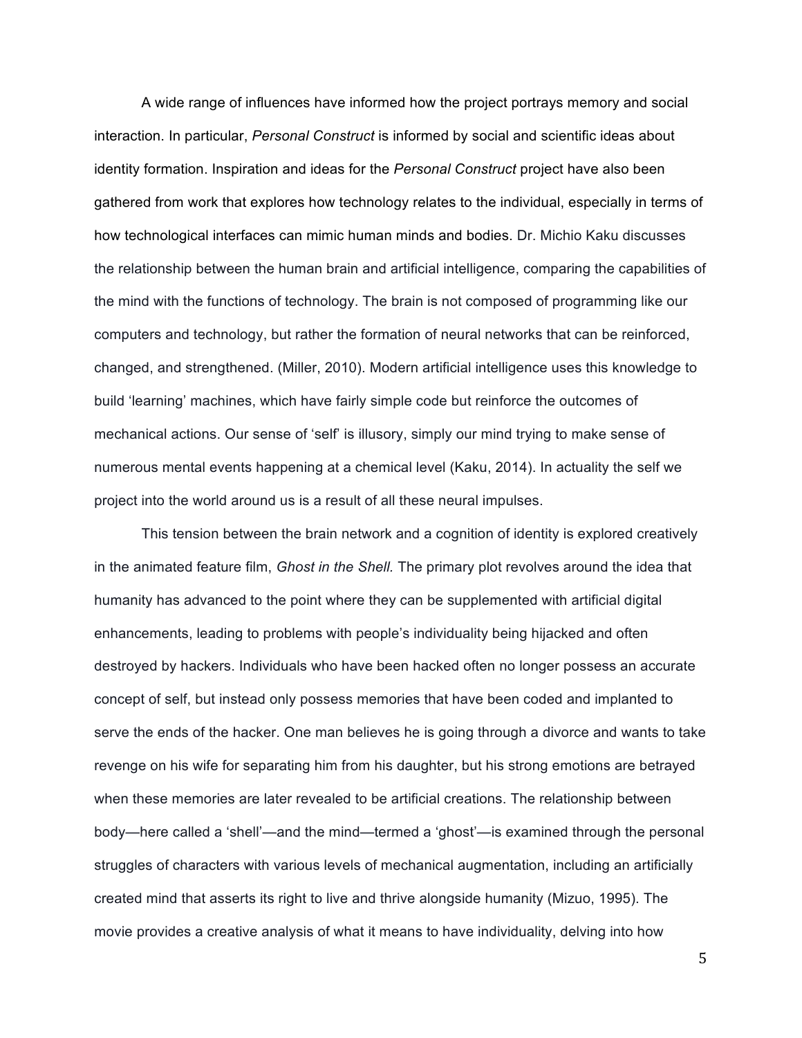A wide range of influences have informed how the project portrays memory and social interaction. In particular, *Personal Construct* is informed by social and scientific ideas about identity formation. Inspiration and ideas for the *Personal Construct* project have also been gathered from work that explores how technology relates to the individual, especially in terms of how technological interfaces can mimic human minds and bodies. Dr. Michio Kaku discusses the relationship between the human brain and artificial intelligence, comparing the capabilities of the mind with the functions of technology. The brain is not composed of programming like our computers and technology, but rather the formation of neural networks that can be reinforced, changed, and strengthened. (Miller, 2010). Modern artificial intelligence uses this knowledge to build 'learning' machines, which have fairly simple code but reinforce the outcomes of mechanical actions. Our sense of 'self' is illusory, simply our mind trying to make sense of numerous mental events happening at a chemical level (Kaku, 2014). In actuality the self we project into the world around us is a result of all these neural impulses.

This tension between the brain network and a cognition of identity is explored creatively in the animated feature film, *Ghost in the Shell.* The primary plot revolves around the idea that humanity has advanced to the point where they can be supplemented with artificial digital enhancements, leading to problems with people's individuality being hijacked and often destroyed by hackers. Individuals who have been hacked often no longer possess an accurate concept of self, but instead only possess memories that have been coded and implanted to serve the ends of the hacker. One man believes he is going through a divorce and wants to take revenge on his wife for separating him from his daughter, but his strong emotions are betrayed when these memories are later revealed to be artificial creations. The relationship between body—here called a 'shell'—and the mind—termed a 'ghost'—is examined through the personal struggles of characters with various levels of mechanical augmentation, including an artificially created mind that asserts its right to live and thrive alongside humanity (Mizuo, 1995). The movie provides a creative analysis of what it means to have individuality, delving into how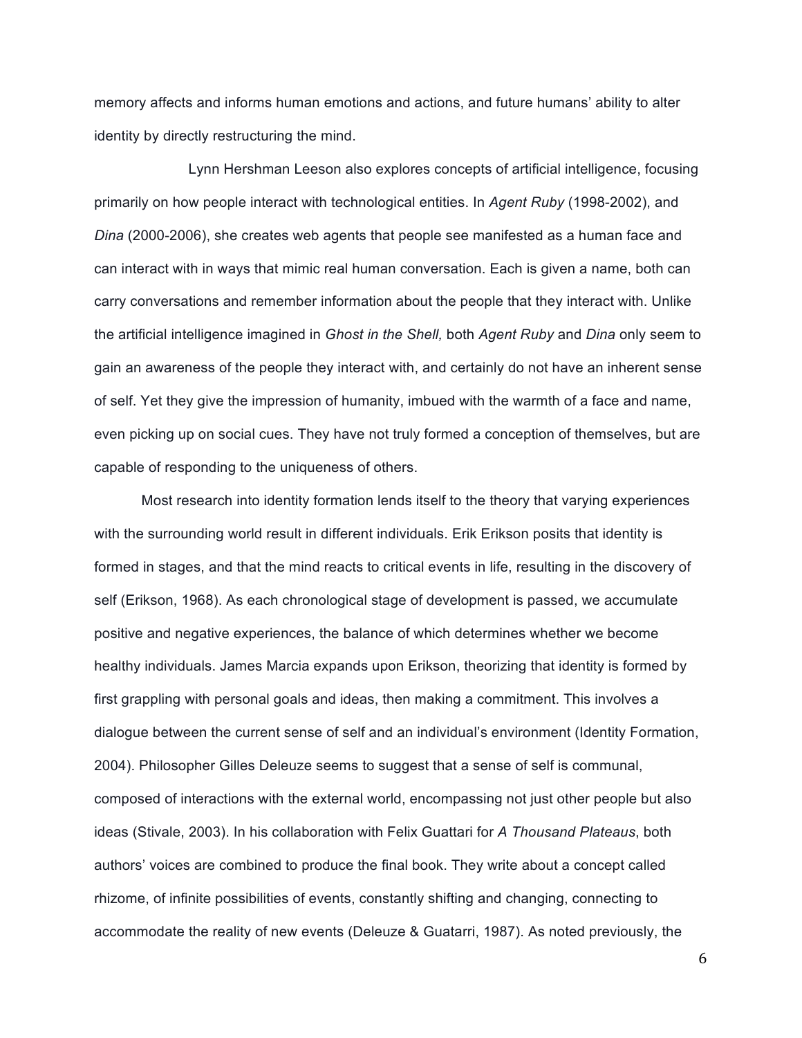memory affects and informs human emotions and actions, and future humans' ability to alter identity by directly restructuring the mind.

Lynn Hershman Leeson also explores concepts of artificial intelligence, focusing primarily on how people interact with technological entities. In *Agent Ruby* (1998-2002), and *Dina* (2000-2006), she creates web agents that people see manifested as a human face and can interact with in ways that mimic real human conversation. Each is given a name, both can carry conversations and remember information about the people that they interact with. Unlike the artificial intelligence imagined in *Ghost in the Shell,* both *Agent Ruby* and *Dina* only seem to gain an awareness of the people they interact with, and certainly do not have an inherent sense of self. Yet they give the impression of humanity, imbued with the warmth of a face and name, even picking up on social cues. They have not truly formed a conception of themselves, but are capable of responding to the uniqueness of others.

Most research into identity formation lends itself to the theory that varying experiences with the surrounding world result in different individuals. Erik Erikson posits that identity is formed in stages, and that the mind reacts to critical events in life, resulting in the discovery of self (Erikson, 1968). As each chronological stage of development is passed, we accumulate positive and negative experiences, the balance of which determines whether we become healthy individuals. James Marcia expands upon Erikson, theorizing that identity is formed by first grappling with personal goals and ideas, then making a commitment. This involves a dialogue between the current sense of self and an individual's environment (Identity Formation, 2004). Philosopher Gilles Deleuze seems to suggest that a sense of self is communal, composed of interactions with the external world, encompassing not just other people but also ideas (Stivale, 2003). In his collaboration with Felix Guattari for *A Thousand Plateaus*, both authors' voices are combined to produce the final book. They write about a concept called rhizome, of infinite possibilities of events, constantly shifting and changing, connecting to accommodate the reality of new events (Deleuze & Guatarri, 1987). As noted previously, the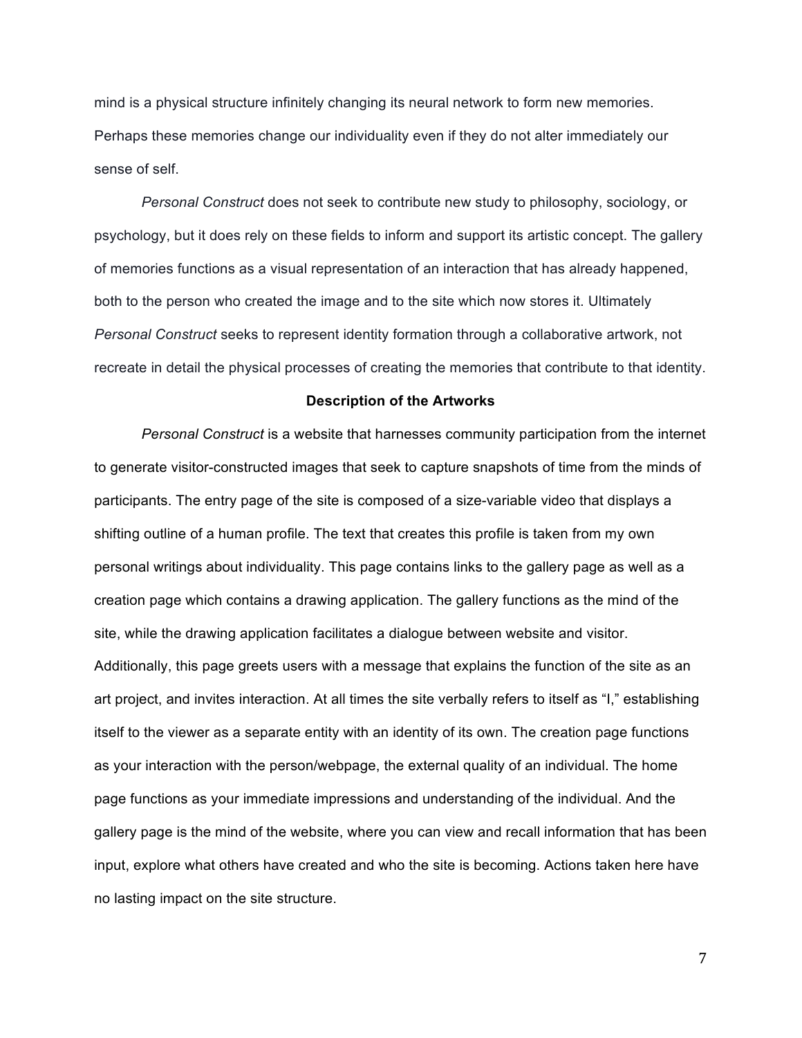mind is a physical structure infinitely changing its neural network to form new memories. Perhaps these memories change our individuality even if they do not alter immediately our sense of self.

*Personal Construct* does not seek to contribute new study to philosophy, sociology, or psychology, but it does rely on these fields to inform and support its artistic concept. The gallery of memories functions as a visual representation of an interaction that has already happened, both to the person who created the image and to the site which now stores it. Ultimately *Personal Construct* seeks to represent identity formation through a collaborative artwork, not recreate in detail the physical processes of creating the memories that contribute to that identity.

#### **Description of the Artworks**

*Personal Construct* is a website that harnesses community participation from the internet to generate visitor-constructed images that seek to capture snapshots of time from the minds of participants. The entry page of the site is composed of a size-variable video that displays a shifting outline of a human profile. The text that creates this profile is taken from my own personal writings about individuality. This page contains links to the gallery page as well as a creation page which contains a drawing application. The gallery functions as the mind of the site, while the drawing application facilitates a dialogue between website and visitor. Additionally, this page greets users with a message that explains the function of the site as an art project, and invites interaction. At all times the site verbally refers to itself as "I," establishing itself to the viewer as a separate entity with an identity of its own. The creation page functions as your interaction with the person/webpage, the external quality of an individual. The home page functions as your immediate impressions and understanding of the individual. And the gallery page is the mind of the website, where you can view and recall information that has been input, explore what others have created and who the site is becoming. Actions taken here have no lasting impact on the site structure.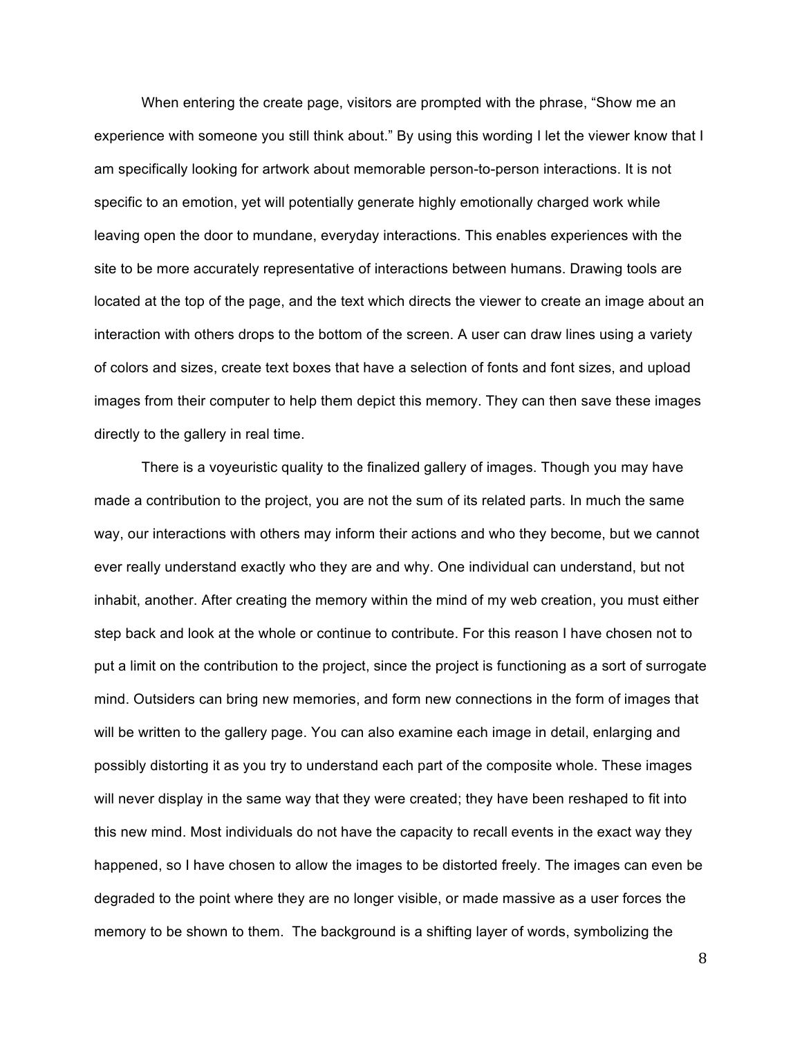When entering the create page, visitors are prompted with the phrase, "Show me an experience with someone you still think about." By using this wording I let the viewer know that I am specifically looking for artwork about memorable person-to-person interactions. It is not specific to an emotion, yet will potentially generate highly emotionally charged work while leaving open the door to mundane, everyday interactions. This enables experiences with the site to be more accurately representative of interactions between humans. Drawing tools are located at the top of the page, and the text which directs the viewer to create an image about an interaction with others drops to the bottom of the screen. A user can draw lines using a variety of colors and sizes, create text boxes that have a selection of fonts and font sizes, and upload images from their computer to help them depict this memory. They can then save these images directly to the gallery in real time.

There is a voyeuristic quality to the finalized gallery of images. Though you may have made a contribution to the project, you are not the sum of its related parts. In much the same way, our interactions with others may inform their actions and who they become, but we cannot ever really understand exactly who they are and why. One individual can understand, but not inhabit, another. After creating the memory within the mind of my web creation, you must either step back and look at the whole or continue to contribute. For this reason I have chosen not to put a limit on the contribution to the project, since the project is functioning as a sort of surrogate mind. Outsiders can bring new memories, and form new connections in the form of images that will be written to the gallery page. You can also examine each image in detail, enlarging and possibly distorting it as you try to understand each part of the composite whole. These images will never display in the same way that they were created; they have been reshaped to fit into this new mind. Most individuals do not have the capacity to recall events in the exact way they happened, so I have chosen to allow the images to be distorted freely. The images can even be degraded to the point where they are no longer visible, or made massive as a user forces the memory to be shown to them. The background is a shifting layer of words, symbolizing the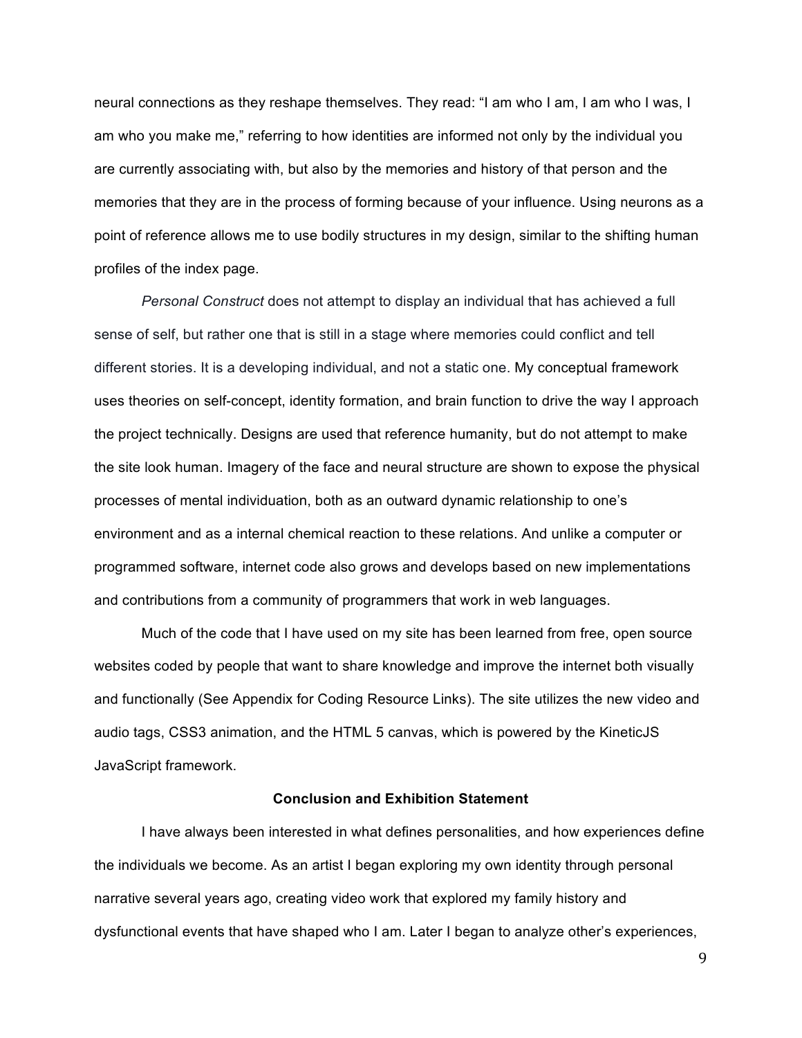neural connections as they reshape themselves. They read: "I am who I am, I am who I was, I am who you make me," referring to how identities are informed not only by the individual you are currently associating with, but also by the memories and history of that person and the memories that they are in the process of forming because of your influence. Using neurons as a point of reference allows me to use bodily structures in my design, similar to the shifting human profiles of the index page.

*Personal Construct* does not attempt to display an individual that has achieved a full sense of self, but rather one that is still in a stage where memories could conflict and tell different stories. It is a developing individual, and not a static one. My conceptual framework uses theories on self-concept, identity formation, and brain function to drive the way I approach the project technically. Designs are used that reference humanity, but do not attempt to make the site look human. Imagery of the face and neural structure are shown to expose the physical processes of mental individuation, both as an outward dynamic relationship to one's environment and as a internal chemical reaction to these relations. And unlike a computer or programmed software, internet code also grows and develops based on new implementations and contributions from a community of programmers that work in web languages.

Much of the code that I have used on my site has been learned from free, open source websites coded by people that want to share knowledge and improve the internet both visually and functionally (See Appendix for Coding Resource Links). The site utilizes the new video and audio tags, CSS3 animation, and the HTML 5 canvas, which is powered by the KineticJS JavaScript framework.

## **Conclusion and Exhibition Statement**

I have always been interested in what defines personalities, and how experiences define the individuals we become. As an artist I began exploring my own identity through personal narrative several years ago, creating video work that explored my family history and dysfunctional events that have shaped who I am. Later I began to analyze other's experiences,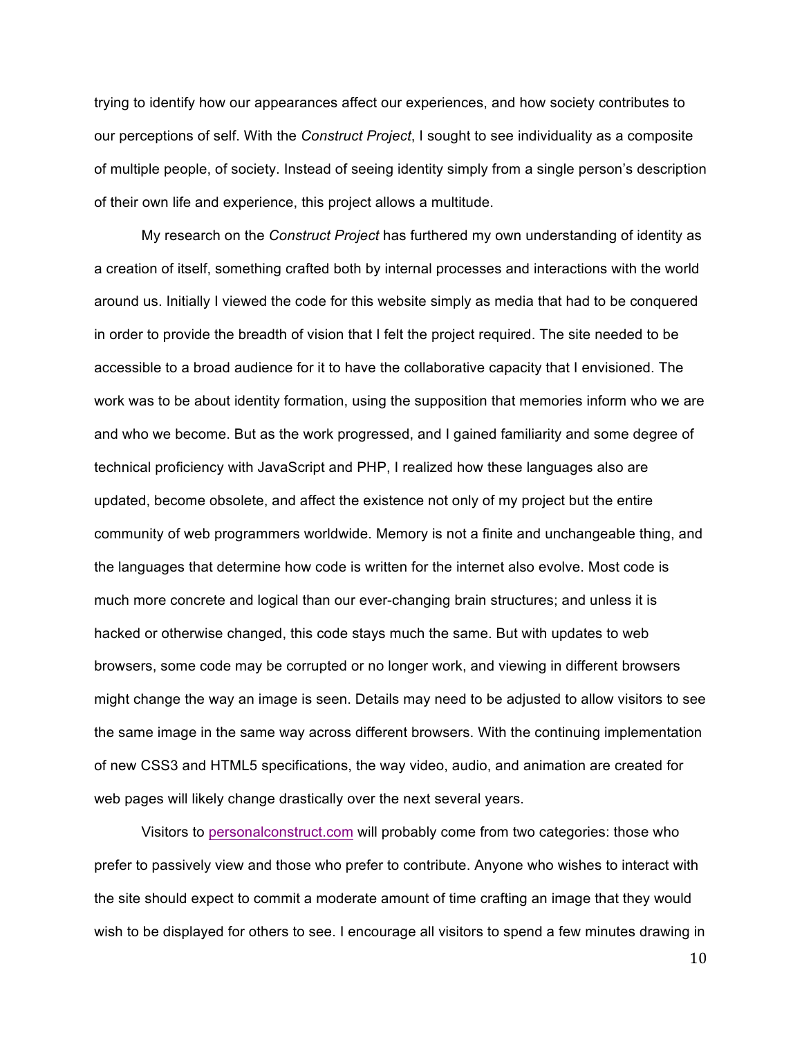trying to identify how our appearances affect our experiences, and how society contributes to our perceptions of self. With the *Construct Project*, I sought to see individuality as a composite of multiple people, of society. Instead of seeing identity simply from a single person's description of their own life and experience, this project allows a multitude.

My research on the *Construct Project* has furthered my own understanding of identity as a creation of itself, something crafted both by internal processes and interactions with the world around us. Initially I viewed the code for this website simply as media that had to be conquered in order to provide the breadth of vision that I felt the project required. The site needed to be accessible to a broad audience for it to have the collaborative capacity that I envisioned. The work was to be about identity formation, using the supposition that memories inform who we are and who we become. But as the work progressed, and I gained familiarity and some degree of technical proficiency with JavaScript and PHP, I realized how these languages also are updated, become obsolete, and affect the existence not only of my project but the entire community of web programmers worldwide. Memory is not a finite and unchangeable thing, and the languages that determine how code is written for the internet also evolve. Most code is much more concrete and logical than our ever-changing brain structures; and unless it is hacked or otherwise changed, this code stays much the same. But with updates to web browsers, some code may be corrupted or no longer work, and viewing in different browsers might change the way an image is seen. Details may need to be adjusted to allow visitors to see the same image in the same way across different browsers. With the continuing implementation of new CSS3 and HTML5 specifications, the way video, audio, and animation are created for web pages will likely change drastically over the next several years.

Visitors to personalconstruct.com will probably come from two categories: those who prefer to passively view and those who prefer to contribute. Anyone who wishes to interact with the site should expect to commit a moderate amount of time crafting an image that they would wish to be displayed for others to see. I encourage all visitors to spend a few minutes drawing in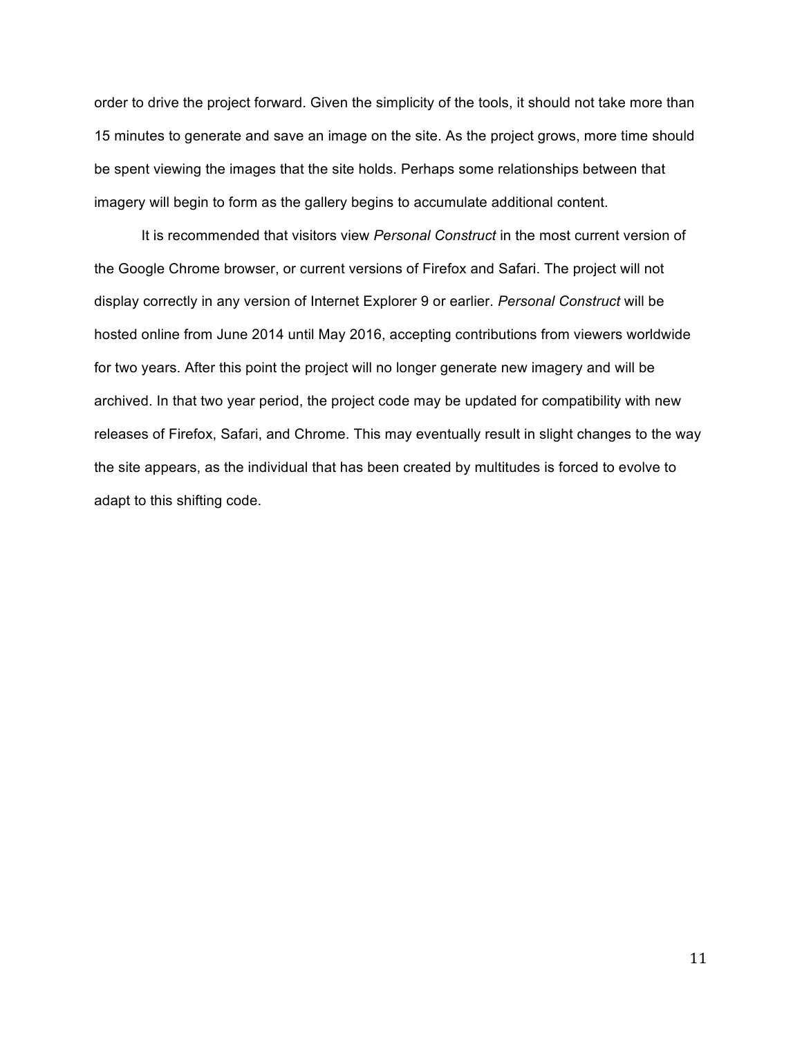order to drive the project forward. Given the simplicity of the tools, it should not take more than 15 minutes to generate and save an image on the site. As the project grows, more time should be spent viewing the images that the site holds. Perhaps some relationships between that imagery will begin to form as the gallery begins to accumulate additional content.

It is recommended that visitors view *Personal Construct* in the most current version of the Google Chrome browser, or current versions of Firefox and Safari. The project will not display correctly in any version of Internet Explorer 9 or earlier. *Personal Construct* will be hosted online from June 2014 until May 2016, accepting contributions from viewers worldwide for two years. After this point the project will no longer generate new imagery and will be archived. In that two year period, the project code may be updated for compatibility with new releases of Firefox, Safari, and Chrome. This may eventually result in slight changes to the way the site appears, as the individual that has been created by multitudes is forced to evolve to adapt to this shifting code.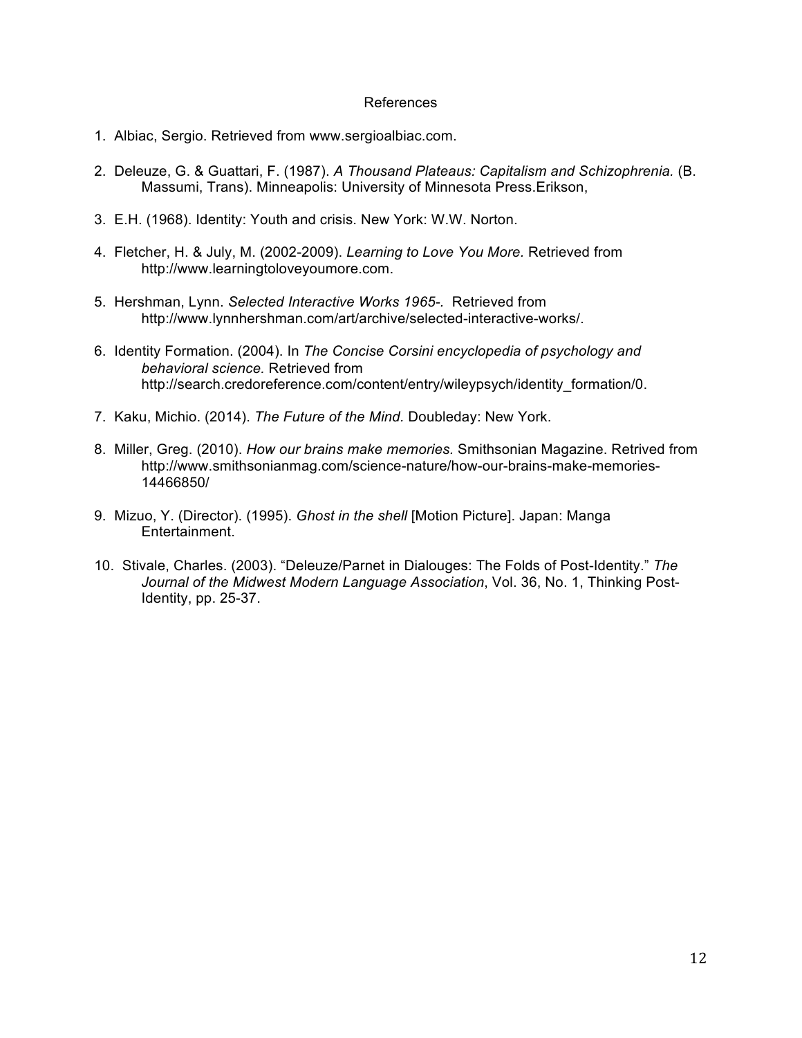### References

- 1. Albiac, Sergio. Retrieved from www.sergioalbiac.com.
- 2. Deleuze, G. & Guattari, F. (1987). *A Thousand Plateaus: Capitalism and Schizophrenia.* (B. Massumi, Trans). Minneapolis: University of Minnesota Press.Erikson,
- 3. E.H. (1968). Identity: Youth and crisis. New York: W.W. Norton.
- 4. Fletcher, H. & July, M. (2002-2009). *Learning to Love You More.* Retrieved from http://www.learningtoloveyoumore.com.
- 5. Hershman, Lynn. *Selected Interactive Works 1965-.* Retrieved from http://www.lynnhershman.com/art/archive/selected-interactive-works/.
- 6. Identity Formation. (2004). In *The Concise Corsini encyclopedia of psychology and behavioral science.* Retrieved from http://search.credoreference.com/content/entry/wileypsych/identity\_formation/0.
- 7. Kaku, Michio. (2014). *The Future of the Mind.* Doubleday: New York.
- 8. Miller, Greg. (2010). *How our brains make memories.* Smithsonian Magazine. Retrived from http://www.smithsonianmag.com/science-nature/how-our-brains-make-memories-14466850/
- 9. Mizuo, Y. (Director). (1995). *Ghost in the shell* [Motion Picture]. Japan: Manga Entertainment.
- 10. Stivale, Charles. (2003). "Deleuze/Parnet in Dialouges: The Folds of Post-Identity." *The Journal of the Midwest Modern Language Association*, Vol. 36, No. 1, Thinking Post-Identity, pp. 25-37.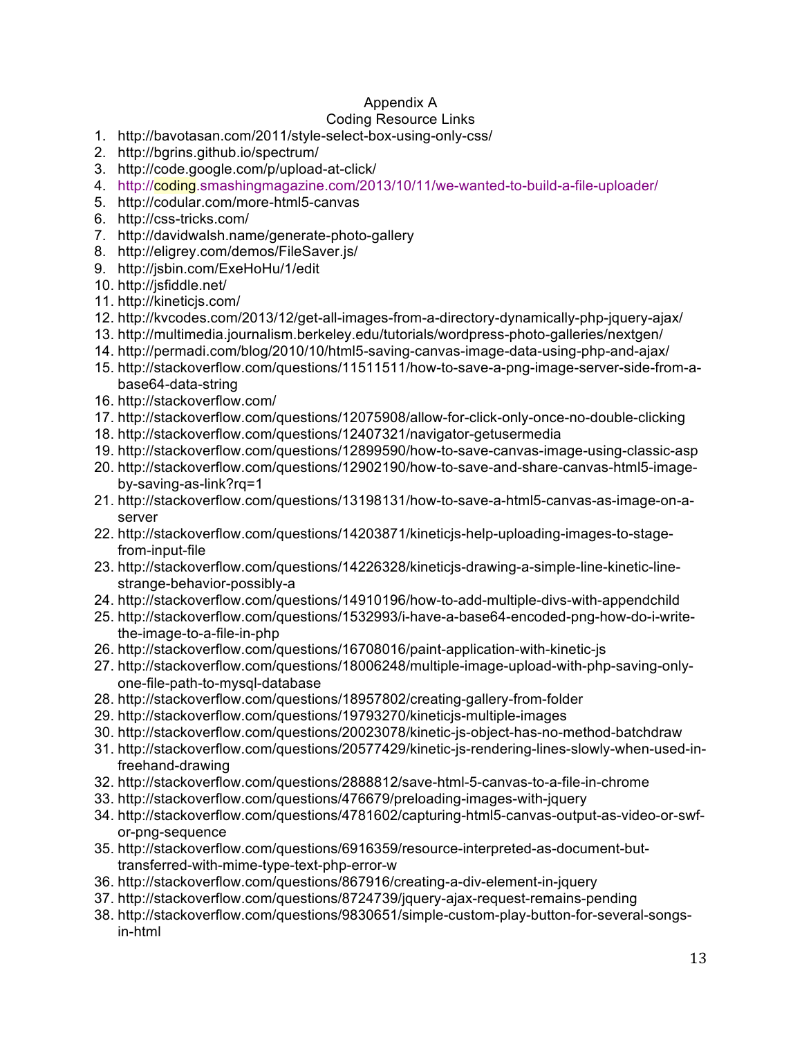# Appendix A

# Coding Resource Links

- 1. http://bavotasan.com/2011/style-select-box-using-only-css/
- 2. http://bgrins.github.io/spectrum/
- 3. http://code.google.com/p/upload-at-click/
- 4. http://coding.smashingmagazine.com/2013/10/11/we-wanted-to-build-a-file-uploader/
- 5. http://codular.com/more-html5-canvas
- 6. http://css-tricks.com/
- 7. http://davidwalsh.name/generate-photo-gallery
- 8. http://eligrey.com/demos/FileSaver.js/
- 9. http://jsbin.com/ExeHoHu/1/edit
- 10. http://jsfiddle.net/
- 11. http://kineticjs.com/
- 12. http://kvcodes.com/2013/12/get-all-images-from-a-directory-dynamically-php-jquery-ajax/
- 13. http://multimedia.journalism.berkeley.edu/tutorials/wordpress-photo-galleries/nextgen/
- 14. http://permadi.com/blog/2010/10/html5-saving-canvas-image-data-using-php-and-ajax/
- 15. http://stackoverflow.com/questions/11511511/how-to-save-a-png-image-server-side-from-abase64-data-string
- 16. http://stackoverflow.com/
- 17. http://stackoverflow.com/questions/12075908/allow-for-click-only-once-no-double-clicking
- 18. http://stackoverflow.com/questions/12407321/navigator-getusermedia
- 19. http://stackoverflow.com/questions/12899590/how-to-save-canvas-image-using-classic-asp
- 20. http://stackoverflow.com/questions/12902190/how-to-save-and-share-canvas-html5-imageby-saving-as-link?rq=1
- 21. http://stackoverflow.com/questions/13198131/how-to-save-a-html5-canvas-as-image-on-aserver
- 22. http://stackoverflow.com/questions/14203871/kineticjs-help-uploading-images-to-stagefrom-input-file
- 23. http://stackoverflow.com/questions/14226328/kineticjs-drawing-a-simple-line-kinetic-linestrange-behavior-possibly-a
- 24. http://stackoverflow.com/questions/14910196/how-to-add-multiple-divs-with-appendchild
- 25. http://stackoverflow.com/questions/1532993/i-have-a-base64-encoded-png-how-do-i-writethe-image-to-a-file-in-php
- 26. http://stackoverflow.com/questions/16708016/paint-application-with-kinetic-js
- 27. http://stackoverflow.com/questions/18006248/multiple-image-upload-with-php-saving-onlyone-file-path-to-mysql-database
- 28. http://stackoverflow.com/questions/18957802/creating-gallery-from-folder
- 29. http://stackoverflow.com/questions/19793270/kineticjs-multiple-images
- 30. http://stackoverflow.com/questions/20023078/kinetic-js-object-has-no-method-batchdraw
- 31. http://stackoverflow.com/questions/20577429/kinetic-js-rendering-lines-slowly-when-used-infreehand-drawing
- 32. http://stackoverflow.com/questions/2888812/save-html-5-canvas-to-a-file-in-chrome
- 33. http://stackoverflow.com/questions/476679/preloading-images-with-jquery
- 34. http://stackoverflow.com/questions/4781602/capturing-html5-canvas-output-as-video-or-swfor-png-sequence
- 35. http://stackoverflow.com/questions/6916359/resource-interpreted-as-document-buttransferred-with-mime-type-text-php-error-w
- 36. http://stackoverflow.com/questions/867916/creating-a-div-element-in-jquery
- 37. http://stackoverflow.com/questions/8724739/jquery-ajax-request-remains-pending
- 38. http://stackoverflow.com/questions/9830651/simple-custom-play-button-for-several-songsin-html